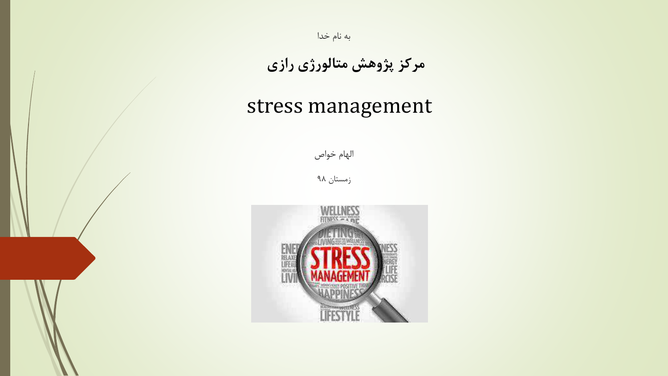

**مرکز پژوهش متالورژی رازی**

#### stress management

الهام خواص

زمستان 98

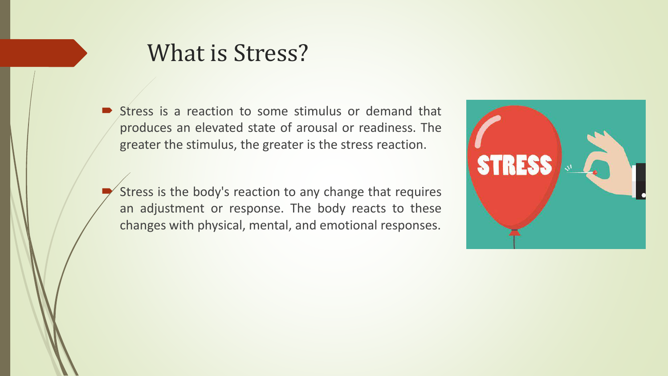#### What is Stress?

- Stress is a reaction to some stimulus or demand that produces an elevated state of arousal or readiness. The greater the stimulus, the greater is the stress reaction.
- Stress is the body's reaction to any change that requires an adjustment or response. The body reacts to these changes with physical, mental, and emotional responses.

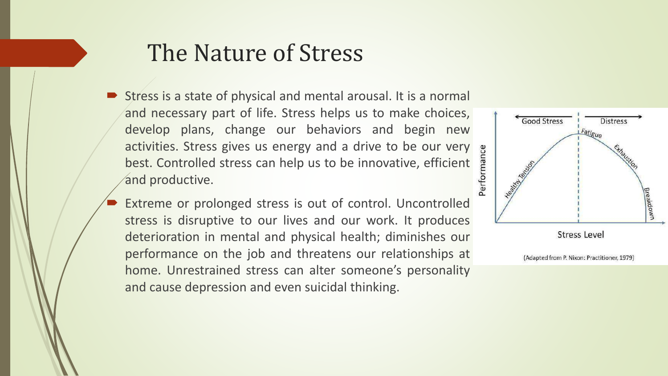## The Nature of Stress

- Stress is a state of physical and mental arousal. It is a normal and necessary part of life. Stress helps us to make choices, develop plans, change our behaviors and begin new activities. Stress gives us energy and a drive to be our very best. Controlled stress can help us to be innovative, efficient and productive.
- Extreme or prolonged stress is out of control. Uncontrolled stress is disruptive to our lives and our work. It produces deterioration in mental and physical health; diminishes our performance on the job and threatens our relationships at home. Unrestrained stress can alter someone's personality and cause depression and even suicidal thinking.

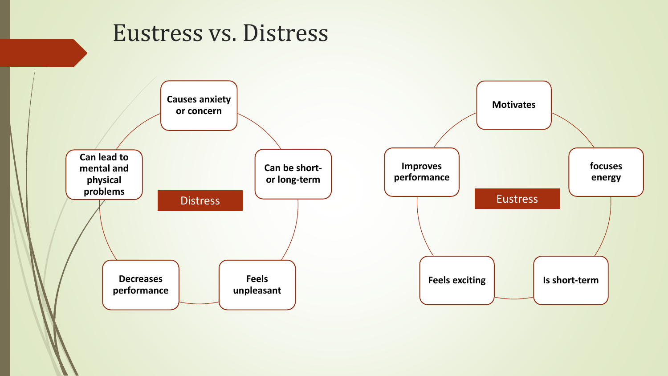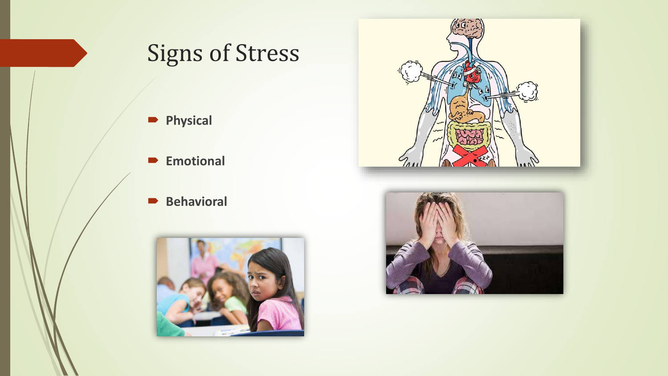# Signs of Stress

- **Physical**
- **Emotional**
- **Behavioral**





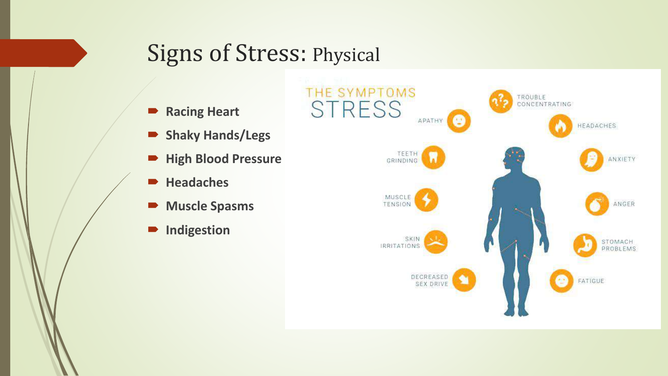#### Signs of Stress: Physical

- **Racing Heart**
- **Shaky Hands/Legs**
- **High Blood Pressure**
- **Headaches**
- **Muscle Spasms**
- $\blacksquare$  Indigestion

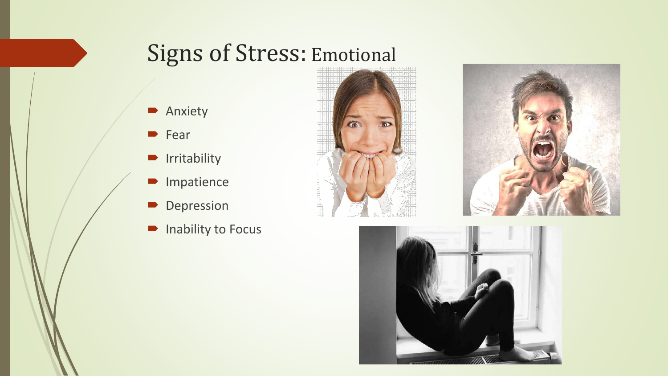## Signs of Stress: Emotional

- Anxiety
- **Fear**
- **I**rritability
- Impatience
- Depression
- $\blacksquare$  Inability to Focus





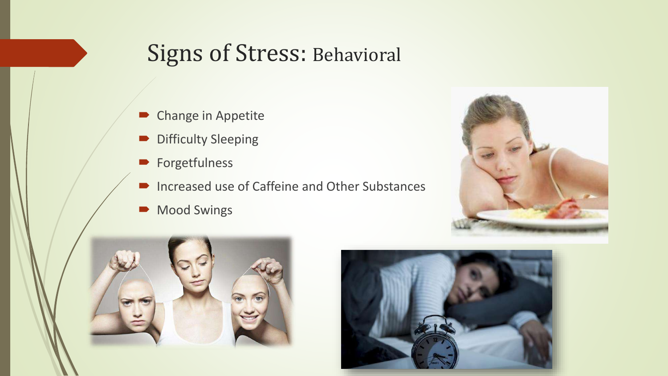#### Signs of Stress: Behavioral

- Change in Appetite
- **Difficulty Sleeping**
- **Forgetfulness**
- Increased use of Caffeine and Other Substances
- Mood Swings





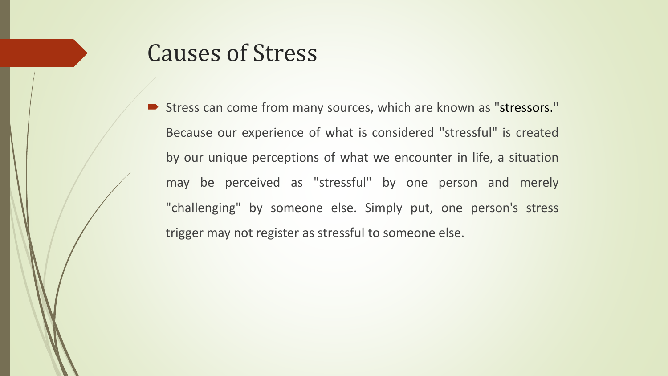## Causes of Stress

 Stress can come from many sources, which are known as "stressors." Because our experience of what is considered "stressful" is created by our unique perceptions of what we encounter in life, a situation may be perceived as "stressful" by one person and merely "challenging" by someone else. Simply put, one person's stress trigger may not register as stressful to someone else.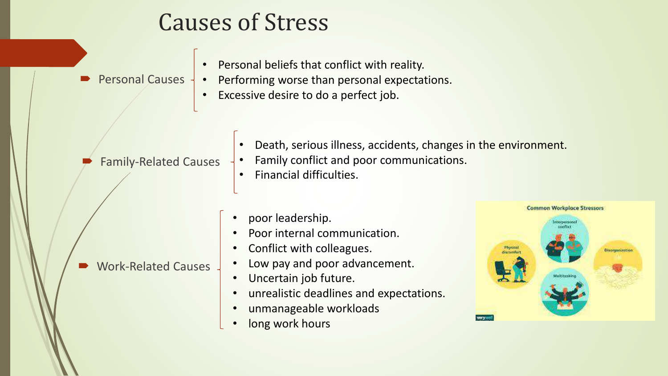## Causes of Stress

- Personal beliefs that conflict with reality.
- Personal Causes -
- Performing worse than personal expectations.
	- Excessive desire to do a perfect job.

Family-Related Causes

Work-Related Causes

- Death, serious illness, accidents, changes in the environment.
- Family conflict and poor communications.
- Financial difficulties.
- poor leadership.
	- Poor internal communication.
	- Conflict with colleagues.
	- Low pay and poor advancement.
	- Uncertain job future.
	- unrealistic deadlines and expectations.
	- unmanageable workloads
	- long work hours

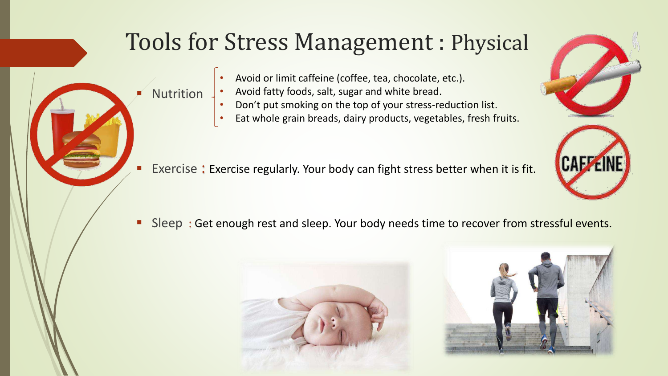## Tools for Stress Management : Physical

- Avoid or limit caffeine (coffee, tea, chocolate, etc.).
- Avoid fatty foods, salt, sugar and white bread.

Nutrition

- Don't put smoking on the top of your stress-reduction list.
- Eat whole grain breads, dairy products, vegetables, fresh fruits.
- Exercise : Exercise regularly. Your body can fight stress better when it is fit.

Sleep: Get enough rest and sleep. Your body needs time to recover from stressful events.







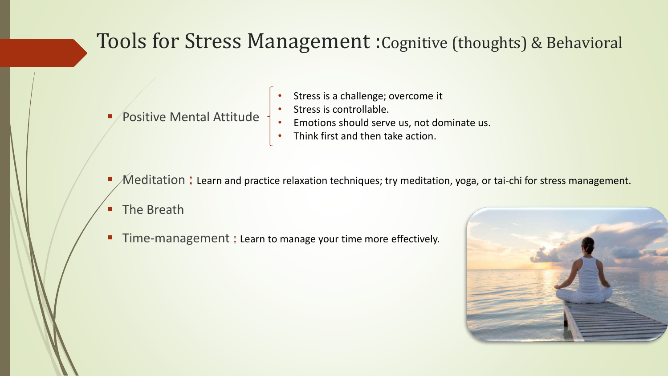#### Tools for Stress Management :Cognitive (thoughts) & Behavioral

- Positive Mental Attitude
- Stress is a challenge; overcome it
- Stress is controllable.
- Emotions should serve us, not dominate us.
- Think first and then take action.
- $\mathcal M$ editation: Learn and practice relaxation techniques; try meditation, yoga, or tai-chi for stress management.
- **The Breath**
- **Time-management : Learn to manage your time more effectively.**

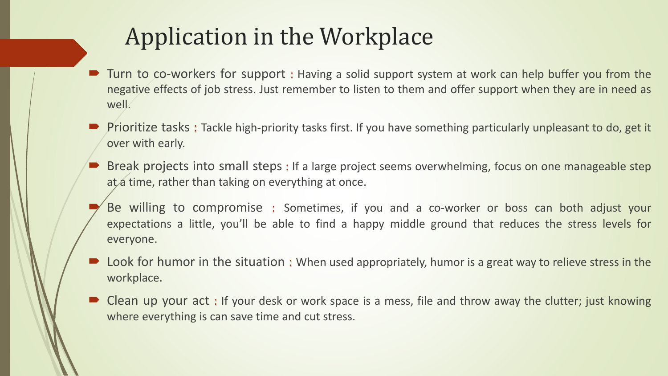# Application in the Workplace

- Turn to co-workers for support : Having a solid support system at work can help buffer you from the negative effects of job stress. Just remember to listen to them and offer support when they are in need as well.
- Prioritize tasks : Tackle high-priority tasks first. If you have something particularly unpleasant to do, get it over with early.
- Break projects into small steps : If a large project seems overwhelming, focus on one manageable step at a time, rather than taking on everything at once.
- Be willing to compromise : Sometimes, if you and a co-worker or boss can both adjust your expectations a little, you'll be able to find a happy middle ground that reduces the stress levels for everyone.
- Look for humor in the situation: When used appropriately, humor is a great way to relieve stress in the workplace.
- Clean up your act : If your desk or work space is a mess, file and throw away the clutter; just knowing where everything is can save time and cut stress.